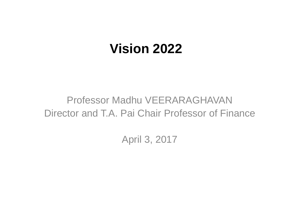# **Vision 2022**

#### Professor Madhu VEERARAGHAVAN Director and T.A. Pai Chair Professor of Finance

April 3, 2017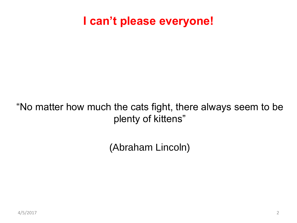#### **I can't please everyone!**

#### "No matter how much the cats fight, there always seem to be plenty of kittens"

(Abraham Lincoln)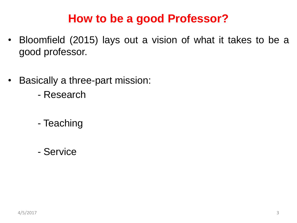#### **How to be a good Professor?**

- Bloomfield (2015) lays out a vision of what it takes to be a good professor.
- Basically a three-part mission:
	- Research
	- Teaching
	- Service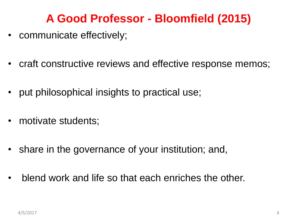## **A Good Professor - Bloomfield (2015)**

- communicate effectively;
- craft constructive reviews and effective response memos;
- put philosophical insights to practical use;
- motivate students;
- share in the governance of your institution; and,
- blend work and life so that each enriches the other.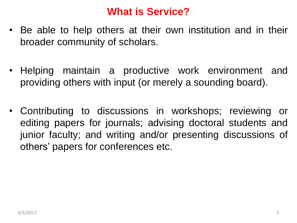#### **What is Service?**

- Be able to help others at their own institution and in their broader community of scholars.
- Helping maintain a productive work environment and providing others with input (or merely a sounding board).
- Contributing to discussions in workshops; reviewing or editing papers for journals; advising doctoral students and junior faculty; and writing and/or presenting discussions of others' papers for conferences etc.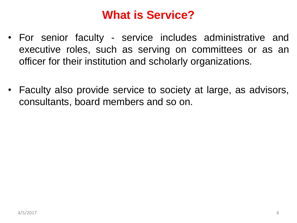#### **What is Service?**

- For senior faculty service includes administrative and executive roles, such as serving on committees or as an officer for their institution and scholarly organizations.
- Faculty also provide service to society at large, as advisors, consultants, board members and so on.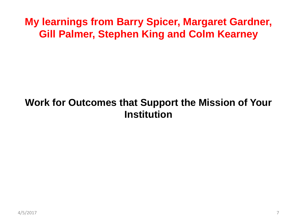#### **My learnings from Barry Spicer, Margaret Gardner, Gill Palmer, Stephen King and Colm Kearney**

#### **Work for Outcomes that Support the Mission of Your Institution**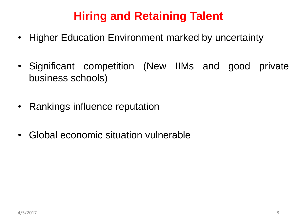# **Hiring and Retaining Talent**

- Higher Education Environment marked by uncertainty
- Significant competition (New IIMs and good private business schools)
- Rankings influence reputation
- Global economic situation vulnerable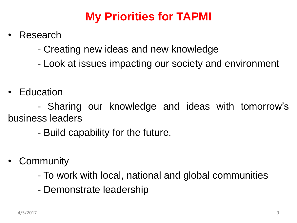# **My Priorities for TAPMI**

- **Research** 
	- Creating new ideas and new knowledge
	- Look at issues impacting our society and environment
- Education

- Sharing our knowledge and ideas with tomorrow's business leaders

- Build capability for the future.
- **Community** 
	- To work with local, national and global communities
	- Demonstrate leadership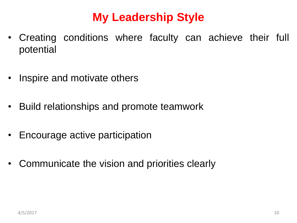## **My Leadership Style**

- Creating conditions where faculty can achieve their full potential
- Inspire and motivate others
- Build relationships and promote teamwork
- Encourage active participation
- Communicate the vision and priorities clearly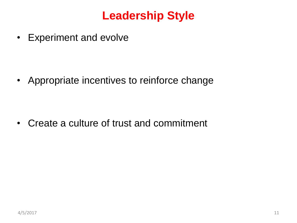#### **Leadership Style**

• Experiment and evolve

• Appropriate incentives to reinforce change

• Create a culture of trust and commitment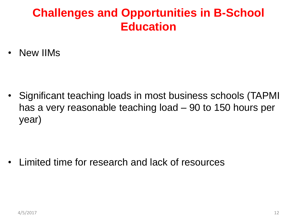## **Challenges and Opportunities in B-School Education**

• New IIMs

• Significant teaching loads in most business schools (TAPMI has a very reasonable teaching load – 90 to 150 hours per year)

• Limited time for research and lack of resources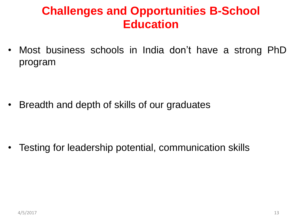#### **Challenges and Opportunities B-School Education**

• Most business schools in India don't have a strong PhD program

• Breadth and depth of skills of our graduates

• Testing for leadership potential, communication skills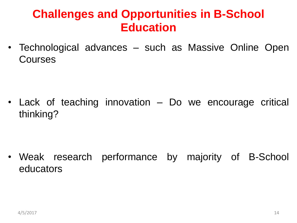## **Challenges and Opportunities in B-School Education**

• Technological advances – such as Massive Online Open **Courses** 

• Lack of teaching innovation – Do we encourage critical thinking?

• Weak research performance by majority of B-School educators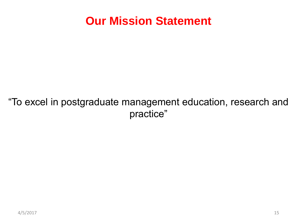#### **Our Mission Statement**

#### "To excel in postgraduate management education, research and practice"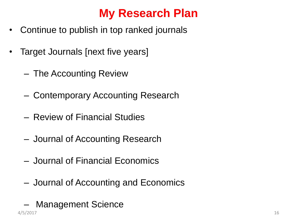## **My Research Plan**

- Continue to publish in top ranked journals
- Target Journals [next five years]
	- The Accounting Review
	- Contemporary Accounting Research
	- Review of Financial Studies
	- Journal of Accounting Research
	- Journal of Financial Economics
	- Journal of Accounting and Economics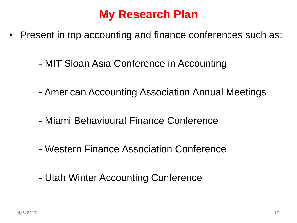#### **My Research Plan**

- Present in top accounting and finance conferences such as:
	- MIT Sloan Asia Conference in Accounting
	- American Accounting Association Annual Meetings
	- Miami Behavioural Finance Conference
	- Western Finance Association Conference
	- Utah Winter Accounting Conference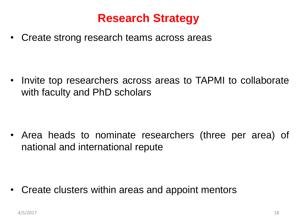• Create strong research teams across areas

• Invite top researchers across areas to TAPMI to collaborate with faculty and PhD scholars

• Area heads to nominate researchers (three per area) of national and international repute

• Create clusters within areas and appoint mentors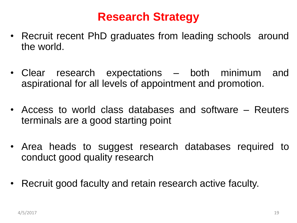- Recruit recent PhD graduates from leading schools around the world.
- Clear research expectations both minimum and aspirational for all levels of appointment and promotion.
- Access to world class databases and software Reuters terminals are a good starting point
- Area heads to suggest research databases required to conduct good quality research
- Recruit good faculty and retain research active faculty.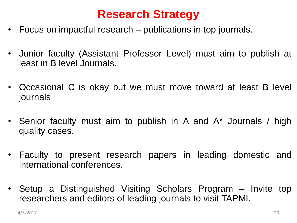- Focus on impactful research publications in top journals.
- Junior faculty (Assistant Professor Level) must aim to publish at least in B level Journals.
- Occasional C is okay but we must move toward at least B level journals
- Senior faculty must aim to publish in A and A\* Journals / high quality cases.
- Faculty to present research papers in leading domestic and international conferences.
- Setup a Distinguished Visiting Scholars Program Invite top researchers and editors of leading journals to visit TAPMI.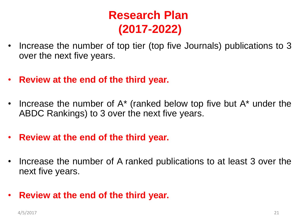# **Research Plan (2017-2022)**

- Increase the number of top tier (top five Journals) publications to 3 over the next five years.
- **Review at the end of the third year.**
- Increase the number of A\* (ranked below top five but A\* under the ABDC Rankings) to 3 over the next five years.
- **Review at the end of the third year.**
- Increase the number of A ranked publications to at least 3 over the next five years.
- **Review at the end of the third year.**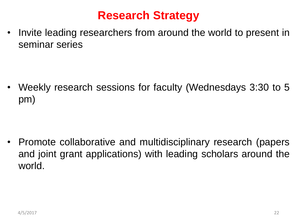• Invite leading researchers from around the world to present in seminar series

• Weekly research sessions for faculty (Wednesdays 3:30 to 5 pm)

• Promote collaborative and multidisciplinary research (papers and joint grant applications) with leading scholars around the world.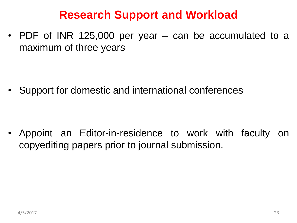#### **Research Support and Workload**

• PDF of INR 125,000 per year – can be accumulated to a maximum of three years

• Support for domestic and international conferences

Appoint an Editor-in-residence to work with faculty on copyediting papers prior to journal submission.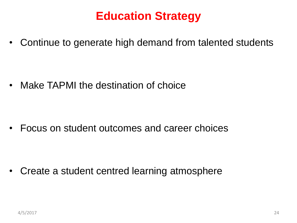## **Education Strategy**

• Continue to generate high demand from talented students

• Make TAPMI the destination of choice

• Focus on student outcomes and career choices

• Create a student centred learning atmosphere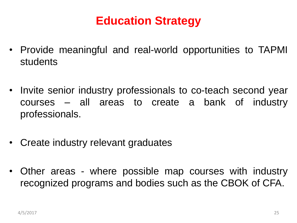# **Education Strategy**

- Provide meaningful and real-world opportunities to TAPMI students
- Invite senior industry professionals to co-teach second year courses – all areas to create a bank of industry professionals.
- Create industry relevant graduates
- Other areas where possible map courses with industry recognized programs and bodies such as the CBOK of CFA.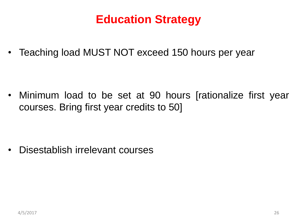## **Education Strategy**

• Teaching load MUST NOT exceed 150 hours per year

• Minimum load to be set at 90 hours [rationalize first year courses. Bring first year credits to 50]

• Disestablish irrelevant courses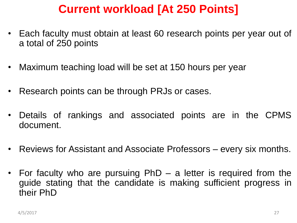## **Current workload [At 250 Points]**

- Each faculty must obtain at least 60 research points per year out of a total of 250 points
- Maximum teaching load will be set at 150 hours per year
- Research points can be through PRJs or cases.
- Details of rankings and associated points are in the CPMS document.
- Reviews for Assistant and Associate Professors every six months.
- For faculty who are pursuing PhD a letter is required from the guide stating that the candidate is making sufficient progress in their PhD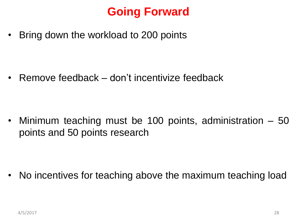## **Going Forward**

• Bring down the workload to 200 points

• Remove feedback – don't incentivize feedback

• Minimum teaching must be 100 points, administration – 50 points and 50 points research

• No incentives for teaching above the maximum teaching load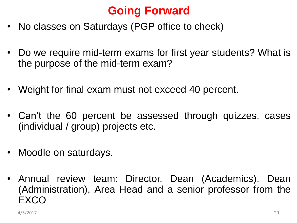# **Going Forward**

- No classes on Saturdays (PGP office to check)
- Do we require mid-term exams for first year students? What is the purpose of the mid-term exam?
- Weight for final exam must not exceed 40 percent.
- Can't the 60 percent be assessed through quizzes, cases (individual / group) projects etc.
- Moodle on saturdays.
- Annual review team: Director, Dean (Academics), Dean (Administration), Area Head and a senior professor from the EXCO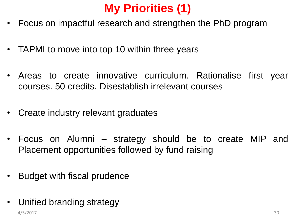# **My Priorities (1)**

- Focus on impactful research and strengthen the PhD program
- TAPMI to move into top 10 within three years
- Areas to create innovative curriculum. Rationalise first year courses. 50 credits. Disestablish irrelevant courses
- Create industry relevant graduates
- Focus on Alumni strategy should be to create MIP and Placement opportunities followed by fund raising
- Budget with fiscal prudence
- Unified branding strategy 4/5/2017 30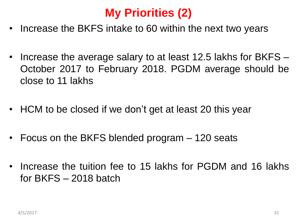# **My Priorities (2)**

- Increase the BKFS intake to 60 within the next two years
- Increase the average salary to at least 12.5 lakhs for BKFS October 2017 to February 2018. PGDM average should be close to 11 lakhs
- HCM to be closed if we don't get at least 20 this year
- Focus on the BKFS blended program 120 seats
- Increase the tuition fee to 15 lakhs for PGDM and 16 lakhs for BKFS – 2018 batch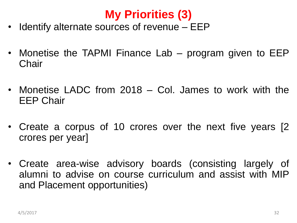# **My Priorities (3)**

- Identify alternate sources of revenue EEP
- Monetise the TAPMI Finance Lab program given to EEP **Chair**
- Monetise LADC from 2018 Col. James to work with the EEP Chair
- Create a corpus of 10 crores over the next five years [2 crores per year]
- Create area-wise advisory boards (consisting largely of alumni to advise on course curriculum and assist with MIP and Placement opportunities)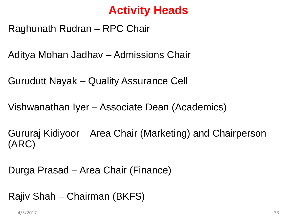## **Activity Heads**

Raghunath Rudran – RPC Chair

Aditya Mohan Jadhav – Admissions Chair

Gurudutt Nayak – Quality Assurance Cell

Vishwanathan Iyer – Associate Dean (Academics)

Gururaj Kidiyoor – Area Chair (Marketing) and Chairperson (ARC)

Durga Prasad – Area Chair (Finance)

Rajiv Shah – Chairman (BKFS)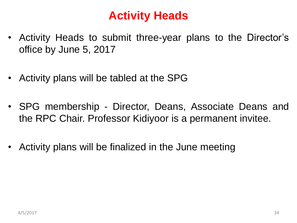## **Activity Heads**

- Activity Heads to submit three-year plans to the Director's office by June 5, 2017
- Activity plans will be tabled at the SPG
- SPG membership Director, Deans, Associate Deans and the RPC Chair. Professor Kidiyoor is a permanent invitee.
- Activity plans will be finalized in the June meeting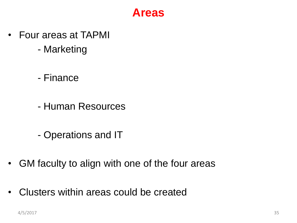#### **Areas**

- Four areas at TAPMI
	- Marketing
	- Finance
	- Human Resources
	- Operations and IT
- GM faculty to align with one of the four areas
- Clusters within areas could be created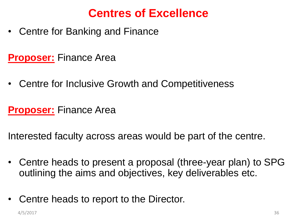#### **Centres of Excellence**

• Centre for Banking and Finance

#### **Proposer:** Finance Area

• Centre for Inclusive Growth and Competitiveness

#### **Proposer:** Finance Area

Interested faculty across areas would be part of the centre.

- Centre heads to present a proposal (three-year plan) to SPG outlining the aims and objectives, key deliverables etc.
- Centre heads to report to the Director.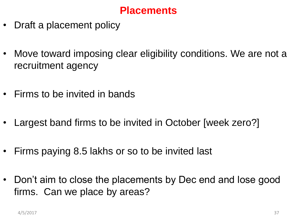#### **Placements**

- Draft a placement policy
- Move toward imposing clear eligibility conditions. We are not a recruitment agency
- Firms to be invited in bands
- Largest band firms to be invited in October [week zero?]
- Firms paying 8.5 lakhs or so to be invited last
- Don't aim to close the placements by Dec end and lose good firms. Can we place by areas?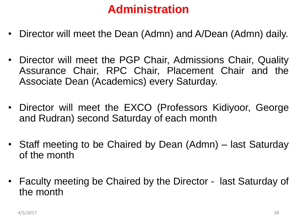# **Administration**

- Director will meet the Dean (Admn) and A/Dean (Admn) daily.
- Director will meet the PGP Chair, Admissions Chair, Quality Assurance Chair, RPC Chair, Placement Chair and the Associate Dean (Academics) every Saturday.
- Director will meet the EXCO (Professors Kidiyoor, George and Rudran) second Saturday of each month
- Staff meeting to be Chaired by Dean (Admn) last Saturday of the month
- Faculty meeting be Chaired by the Director last Saturday of the month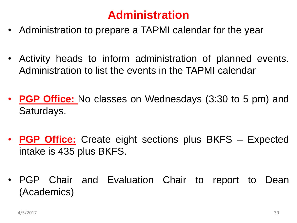#### **Administration**

- Administration to prepare a TAPMI calendar for the year
- Activity heads to inform administration of planned events. Administration to list the events in the TAPMI calendar
- **PGP Office:** No classes on Wednesdays (3:30 to 5 pm) and Saturdays.
- **PGP Office:** Create eight sections plus BKFS Expected intake is 435 plus BKFS.
- PGP Chair and Evaluation Chair to report to Dean (Academics)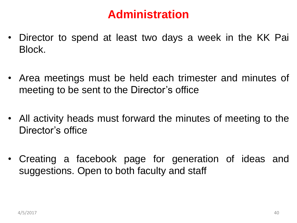#### **Administration**

- Director to spend at least two days a week in the KK Pai Block.
- Area meetings must be held each trimester and minutes of meeting to be sent to the Director's office
- All activity heads must forward the minutes of meeting to the Director's office
- Creating a facebook page for generation of ideas and suggestions. Open to both faculty and staff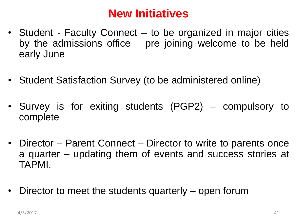#### **New Initiatives**

- Student Faculty Connect to be organized in major cities by the admissions office – pre joining welcome to be held early June
- Student Satisfaction Survey (to be administered online)
- Survey is for exiting students (PGP2) compulsory to complete
- Director Parent Connect Director to write to parents once a quarter – updating them of events and success stories at TAPMI.
- Director to meet the students quarterly open forum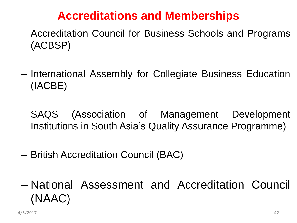#### **Accreditations and Memberships**

- Accreditation Council for Business Schools and Programs (ACBSP)
- International Assembly for Collegiate Business Education (IACBE)
- SAQS (Association of Management Development Institutions in South Asia's Quality Assurance Programme)
- British Accreditation Council (BAC)
- National Assessment and Accreditation Council (NAAC)